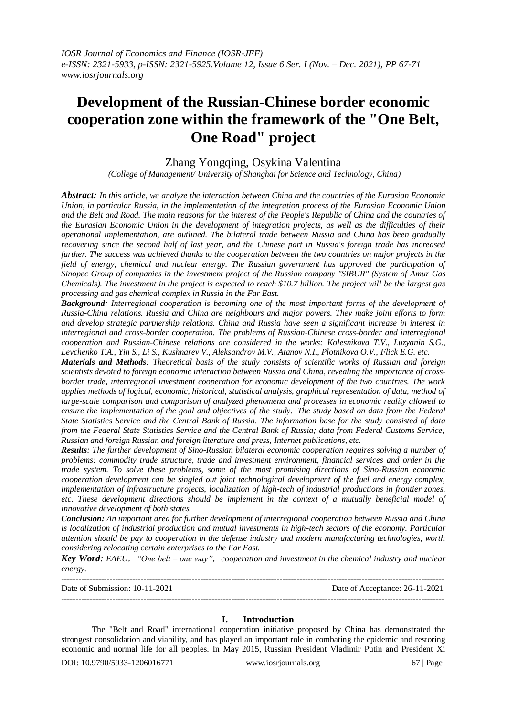# **Development of the Russian-Chinese border economic cooperation zone within the framework of the "One Belt, One Road" project**

# Zhang Yongqing, Osykina Valentina

*(College of Management/ University of Shanghai for Science and Technology, China)*

*Abstract: In this article, we analyze the interaction between China and the countries of the Eurasian Economic Union, in particular Russia, in the implementation of the integration process of the Eurasian Economic Union and the Belt and Road. The main reasons for the interest of the People's Republic of China and the countries of the Eurasian Economic Union in the development of integration projects, as well as the difficulties of their operational implementation, are outlined. The bilateral trade between Russia and China has been gradually recovering since the second half of last year, and the Chinese part in Russia's foreign trade has increased further. The success was achieved thanks to the cooperation between the two countries on major projects in the field of energy, chemical and nuclear energy. The Russian government has approved the participation of Sinopec Group of companies in the investment project of the Russian company "SIBUR" (System of Amur Gas Chemicals). The investment in the project is expected to reach \$10.7 billion. The project will be the largest gas processing and gas chemical complex in Russia in the Far East.*

*Background: Interregional cooperation is becoming one of the most important forms of the development of Russia-China relations. Russia and China are neighbours and major powers. They make joint efforts to form and develop strategic partnership relations. China and Russia have seen a significant increase in interest in interregional and cross-border cooperation. The problems of Russian-Chinese cross-border and interregional cooperation and Russian-Chinese relations are considered in the works: Kolesnikova T.V., Luzyanin S.G., Levchenko T.A., Yin S., Li S., Kushnarev V., Aleksandrov M.V., Atanov N.I., Plotnikova O.V., Flick E.G. etc.* 

*Materials and Methods: Theoretical basis of the study consists of scientific works of Russian and foreign*  scientists devoted to foreign economic interaction between Russia and China, revealing the *importance* of cross*border trade, interregional investment cooperation for economic development of the two countries. The work applies methods of logical, economic, historical, statistical analysis, graphical representation of data, method of large-scale comparison and comparison of analyzed phenomena and processes in economic reality allowed to ensure the implementation of the goal and objectives of the study. The study based on data from the Federal State Statistics Service and the Central Bank of Russia. The information base for the study consisted of data from the Federal State Statistics Service and the Central Bank of Russia; data from Federal Customs Service; Russian and foreign Russian and foreign literature and press, Internet publications, etc.*

*Results: The further development of Sino-Russian bilateral economic cooperation requires solving a number of problems: commodity trade structure, trade and investment environment, financial services and order in the trade system. To solve these problems, some of the most promising directions of Sino-Russian economic cooperation development can be singled out joint technological development of the fuel and energy complex, implementation of infrastructure projects, localization of high-tech of industrial productions in frontier zones, etc. These development directions should be implement in the context of a mutually beneficial model of innovative development of both states.*

*Conclusion: An important area for further development of interregional cooperation between Russia and China is localization of industrial production and mutual investments in high-tech sectors of the economy. Particular attention should be pay to cooperation in the defense industry and modern manufacturing technologies, worth considering relocating certain enterprises to the Far East.* 

*Key Word: EAEU*, *"One belt – one way"*, *cooperation and investment in the chemical industry and nuclear energy.* 

---------------------------------------------------------------------------------------------------------------------------------------

Date of Submission: 10-11-2021 Date of Acceptance: 26-11-2021

#### ---------------------------------------------------------------------------------------------------------------------------------------

#### **I. Introduction**

The "Belt and Road" international cooperation initiative proposed by China has demonstrated the strongest consolidation and viability, and has played an important role in combating the epidemic and restoring economic and normal life for all peoples. In May 2015, Russian President Vladimir Putin and President Xi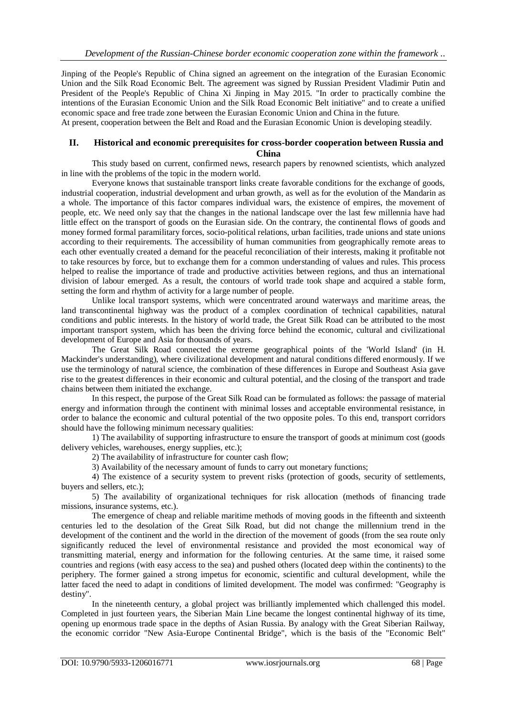Jinping of the People's Republic of China signed an agreement on the integration of the Eurasian Economic Union and the Silk Road Economic Belt. The agreement was signed by Russian President Vladimir Putin and President of the People's Republic of China Xi Jinping in May 2015. "In order to practically combine the intentions of the Eurasian Economic Union and the Silk Road Economic Belt initiative" and to create a unified economic space and free trade zone between the Eurasian Economic Union and China in the future.

At present, cooperation between the Belt and Road and the Eurasian Economic Union is developing steadily.

## **II. Historical and economic prerequisites for cross-border cooperation between Russia and China**

This study based on current, confirmed news, research papers by renowned scientists, which analyzed in line with the problems of the topic in the modern world.

Everyone knows that sustainable transport links create favorable conditions for the exchange of goods, industrial cooperation, industrial development and urban growth, as well as for the evolution of the Mandarin as a whole. The importance of this factor compares individual wars, the existence of empires, the movement of people, etc. We need only say that the changes in the national landscape over the last few millennia have had little effect on the transport of goods on the Eurasian side. On the contrary, the continental flows of goods and money formed formal paramilitary forces, socio-political relations, urban facilities, trade unions and state unions according to their requirements. The accessibility of human communities from geographically remote areas to each other eventually created a demand for the peaceful reconciliation of their interests, making it profitable not to take resources by force, but to exchange them for a common understanding of values and rules. This process helped to realise the importance of trade and productive activities between regions, and thus an international division of labour emerged. As a result, the contours of world trade took shape and acquired a stable form, setting the form and rhythm of activity for a large number of people.

Unlike local transport systems, which were concentrated around waterways and maritime areas, the land transcontinental highway was the product of a complex coordination of technical capabilities, natural conditions and public interests. In the history of world trade, the Great Silk Road can be attributed to the most important transport system, which has been the driving force behind the economic, cultural and civilizational development of Europe and Asia for thousands of years.

The Great Silk Road connected the extreme geographical points of the 'World Island' (in H. Mackinder's understanding), where civilizational development and natural conditions differed enormously. If we use the terminology of natural science, the combination of these differences in Europe and Southeast Asia gave rise to the greatest differences in their economic and cultural potential, and the closing of the transport and trade chains between them initiated the exchange.

In this respect, the purpose of the Great Silk Road can be formulated as follows: the passage of material energy and information through the continent with minimal losses and acceptable environmental resistance, in order to balance the economic and cultural potential of the two opposite poles. To this end, transport corridors should have the following minimum necessary qualities:

1) The availability of supporting infrastructure to ensure the transport of goods at minimum cost (goods delivery vehicles, warehouses, energy supplies, etc.);

2) The availability of infrastructure for counter cash flow;

3) Availability of the necessary amount of funds to carry out monetary functions;

4) The existence of a security system to prevent risks (protection of goods, security of settlements, buyers and sellers, etc.);

5) The availability of organizational techniques for risk allocation (methods of financing trade missions, insurance systems, etc.).

The emergence of cheap and reliable maritime methods of moving goods in the fifteenth and sixteenth centuries led to the desolation of the Great Silk Road, but did not change the millennium trend in the development of the continent and the world in the direction of the movement of goods (from the sea route only significantly reduced the level of environmental resistance and provided the most economical way of transmitting material, energy and information for the following centuries. At the same time, it raised some countries and regions (with easy access to the sea) and pushed others (located deep within the continents) to the periphery. The former gained a strong impetus for economic, scientific and cultural development, while the latter faced the need to adapt in conditions of limited development. The model was confirmed: "Geography is destiny".

In the nineteenth century, a global project was brilliantly implemented which challenged this model. Completed in just fourteen years, the Siberian Main Line became the longest continental highway of its time, opening up enormous trade space in the depths of Asian Russia. By analogy with the Great Siberian Railway, the economic corridor "New Asia-Europe Continental Bridge", which is the basis of the "Economic Belt"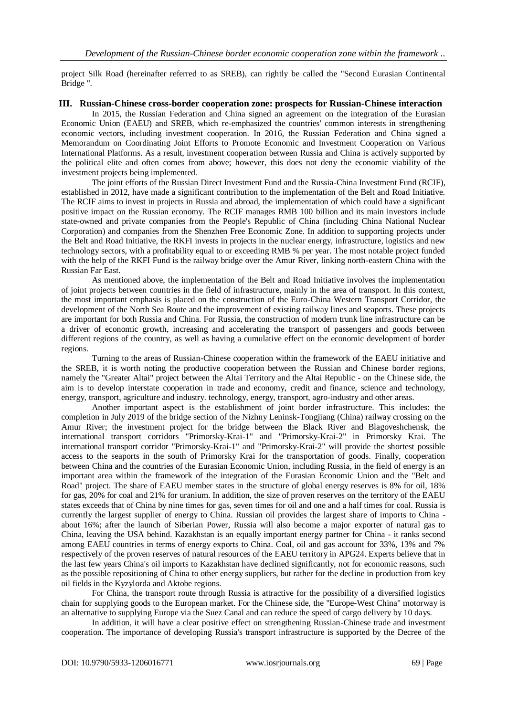project Silk Road (hereinafter referred to as SREB), can rightly be called the "Second Eurasian Continental Bridge ".

#### **III. Russian-Chinese cross-border cooperation zone: prospects for Russian-Chinese interaction**

In 2015, the Russian Federation and China signed an agreement on the integration of the Eurasian Economic Union (EAEU) and SREB, which re-emphasized the countries' common interests in strengthening economic vectors, including investment cooperation. In 2016, the Russian Federation and China signed a Memorandum on Coordinating Joint Efforts to Promote Economic and Investment Cooperation on Various International Platforms. As a result, investment cooperation between Russia and China is actively supported by the political elite and often comes from above; however, this does not deny the economic viability of the investment projects being implemented.

The joint efforts of the Russian Direct Investment Fund and the Russia-China Investment Fund (RCIF), established in 2012, have made a significant contribution to the implementation of the Belt and Road Initiative. The RCIF aims to invest in projects in Russia and abroad, the implementation of which could have a significant positive impact on the Russian economy. The RCIF manages RMB 100 billion and its main investors include state-owned and private companies from the People's Republic of China (including China National Nuclear Corporation) and companies from the Shenzhen Free Economic Zone. In addition to supporting projects under the Belt and Road Initiative, the RKFI invests in projects in the nuclear energy, infrastructure, logistics and new technology sectors, with a profitability equal to or exceeding RMB % per year. The most notable project funded with the help of the RKFI Fund is the railway bridge over the Amur River, linking north-eastern China with the Russian Far East.

As mentioned above, the implementation of the Belt and Road Initiative involves the implementation of joint projects between countries in the field of infrastructure, mainly in the area of transport. In this context, the most important emphasis is placed on the construction of the Euro-China Western Transport Corridor, the development of the North Sea Route and the improvement of existing railway lines and seaports. These projects are important for both Russia and China. For Russia, the construction of modern trunk line infrastructure can be a driver of economic growth, increasing and accelerating the transport of passengers and goods between different regions of the country, as well as having a cumulative effect on the economic development of border regions.

Turning to the areas of Russian-Chinese cooperation within the framework of the EAEU initiative and the SREB, it is worth noting the productive cooperation between the Russian and Chinese border regions, namely the "Greater Altai" project between the Altai Territory and the Altai Republic - on the Chinese side, the aim is to develop interstate cooperation in trade and economy, credit and finance, science and technology, energy, transport, agriculture and industry. technology, energy, transport, agro-industry and other areas.

Another important aspect is the establishment of joint border infrastructure. This includes: the completion in July 2019 of the bridge section of the Nizhny Leninsk-Tongjiang (China) railway crossing on the Amur River; the investment project for the bridge between the Black River and Blagoveshchensk, the international transport corridors "Primorsky-Krai-1" and "Primorsky-Krai-2" in Primorsky Krai. The international transport corridor "Primorsky-Krai-1" and "Primorsky-Krai-2" will provide the shortest possible access to the seaports in the south of Primorsky Krai for the transportation of goods. Finally, cooperation between China and the countries of the Eurasian Economic Union, including Russia, in the field of energy is an important area within the framework of the integration of the Eurasian Economic Union and the "Belt and Road" project. The share of EAEU member states in the structure of global energy reserves is 8% for oil, 18% for gas, 20% for coal and 21% for uranium. In addition, the size of proven reserves on the territory of the EAEU states exceeds that of China by nine times for gas, seven times for oil and one and a half times for coal. Russia is currently the largest supplier of energy to China. Russian oil provides the largest share of imports to China about 16%; after the launch of Siberian Power, Russia will also become a major exporter of natural gas to China, leaving the USA behind. Kazakhstan is an equally important energy partner for China - it ranks second among EAEU countries in terms of energy exports to China. Coal, oil and gas account for 33%, 13% and 7% respectively of the proven reserves of natural resources of the EAEU territory in APG24. Experts believe that in the last few years China's oil imports to Kazakhstan have declined significantly, not for economic reasons, such as the possible repositioning of China to other energy suppliers, but rather for the decline in production from key oil fields in the Kyzylorda and Aktobe regions.

For China, the transport route through Russia is attractive for the possibility of a diversified logistics chain for supplying goods to the European market. For the Chinese side, the "Europe-West China" motorway is an alternative to supplying Europe via the Suez Canal and can reduce the speed of cargo delivery by 10 days.

In addition, it will have a clear positive effect on strengthening Russian-Chinese trade and investment cooperation. The importance of developing Russia's transport infrastructure is supported by the Decree of the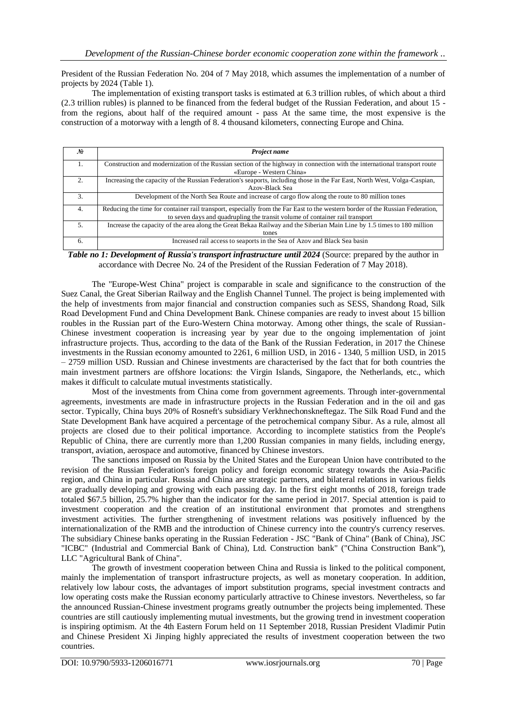President of the Russian Federation No. 204 of 7 May 2018, which assumes the implementation of a number of projects by 2024 (Table 1).

The implementation of existing transport tasks is estimated at 6.3 trillion rubles, of which about a third (2.3 trillion rubles) is planned to be financed from the federal budget of the Russian Federation, and about 15 from the regions, about half of the required amount - pass At the same time, the most expensive is the construction of a motorway with a length of 8. 4 thousand kilometers, connecting Europe and China.

| No | Project name                                                                                                                  |
|----|-------------------------------------------------------------------------------------------------------------------------------|
| 1. | Construction and modernization of the Russian section of the highway in connection with the international transport route     |
|    | «Europe - Western China»                                                                                                      |
| 2. | Increasing the capacity of the Russian Federation's seaports, including those in the Far East, North West, Volga-Caspian,     |
|    | Azov-Black Sea                                                                                                                |
| 3. | Development of the North Sea Route and increase of cargo flow along the route to 80 million tones                             |
|    |                                                                                                                               |
| 4. | Reducing the time for container rail transport, especially from the Far East to the western border of the Russian Federation, |
|    | to seven days and quadrupling the transit volume of container rail transport                                                  |
| 5. | Increase the capacity of the area along the Great Bekaa Railway and the Siberian Main Line by 1.5 times to 180 million        |
|    | tones                                                                                                                         |
| 6. | Increased rail access to seaports in the Sea of Azov and Black Sea basin                                                      |
|    |                                                                                                                               |



The "Europe-West China" project is comparable in scale and significance to the construction of the Suez Canal, the Great Siberian Railway and the English Channel Tunnel. The project is being implemented with the help of investments from major financial and construction companies such as SESS, Shandong Road, Silk Road Development Fund and China Development Bank. Chinese companies are ready to invest about 15 billion roubles in the Russian part of the Euro-Western China motorway. Among other things, the scale of Russian-Chinese investment cooperation is increasing year by year due to the ongoing implementation of joint infrastructure projects. Thus, according to the data of the Bank of the Russian Federation, in 2017 the Chinese investments in the Russian economy amounted to 2261, 6 million USD, in 2016 - 1340, 5 million USD, in 2015 – 2759 million USD. Russian and Chinese investments are characterised by the fact that for both countries the main investment partners are offshore locations: the Virgin Islands, Singapore, the Netherlands, etc., which makes it difficult to calculate mutual investments statistically.

Most of the investments from China come from government agreements. Through inter-governmental agreements, investments are made in infrastructure projects in the Russian Federation and in the oil and gas sector. Typically, China buys 20% of Rosneft's subsidiary Verkhnechonskneftegaz. The Silk Road Fund and the State Development Bank have acquired a percentage of the petrochemical company Sibur. As a rule, almost all projects are closed due to their political importance. According to incomplete statistics from the People's Republic of China, there are currently more than 1,200 Russian companies in many fields, including energy, transport, aviation, aerospace and automotive, financed by Chinese investors.

The sanctions imposed on Russia by the United States and the European Union have contributed to the revision of the Russian Federation's foreign policy and foreign economic strategy towards the Asia-Pacific region, and China in particular. Russia and China are strategic partners, and bilateral relations in various fields are gradually developing and growing with each passing day. In the first eight months of 2018, foreign trade totaled \$67.5 billion, 25.7% higher than the indicator for the same period in 2017. Special attention is paid to investment cooperation and the creation of an institutional environment that promotes and strengthens investment activities. The further strengthening of investment relations was positively influenced by the internationalization of the RMB and the introduction of Chinese currency into the country's currency reserves. The subsidiary Chinese banks operating in the Russian Federation - JSC "Bank of China" (Bank of China), JSC "ICBC" (Industrial and Commercial Bank of China), Ltd. Construction bank" ("China Construction Bank"), LLC "Agricultural Bank of China".

The growth of investment cooperation between China and Russia is linked to the political component, mainly the implementation of transport infrastructure projects, as well as monetary cooperation. In addition, relatively low labour costs, the advantages of import substitution programs, special investment contracts and low operating costs make the Russian economy particularly attractive to Chinese investors. Nevertheless, so far the announced Russian-Chinese investment programs greatly outnumber the projects being implemented. These countries are still cautiously implementing mutual investments, but the growing trend in investment cooperation is inspiring optimism. At the 4th Eastern Forum held on 11 September 2018, Russian President Vladimir Putin and Chinese President Xi Jinping highly appreciated the results of investment cooperation between the two countries.